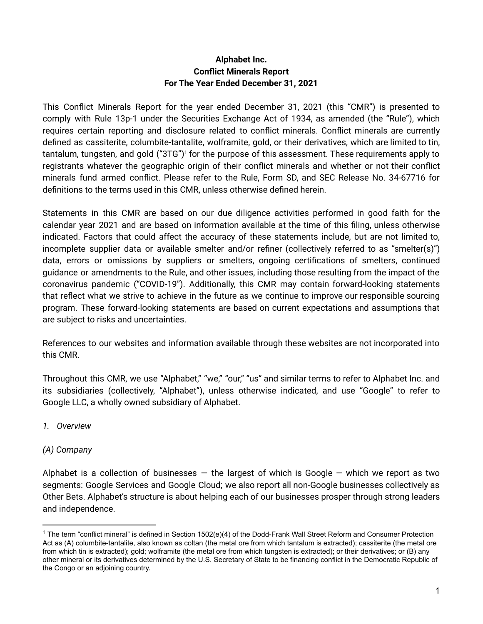#### **Alphabet Inc. Conflict Minerals Report For The Year Ended December 31, 2021**

This Conflict Minerals Report for the year ended December 31, 2021 (this "CMR") is presented to comply with Rule 13p-1 under the Securities Exchange Act of 1934, as amended (the "Rule"), which requires certain reporting and disclosure related to conflict minerals. Conflict minerals are currently defined as cassiterite, columbite-tantalite, wolframite, gold, or their derivatives, which are limited to tin, tantalum, tungsten, and gold ("3TG") $^{\scriptscriptstyle\mathsf{1}}$  for the purpose of this assessment. These requirements apply to registrants whatever the geographic origin of their conflict minerals and whether or not their conflict minerals fund armed conflict. Please refer to the Rule, Form SD, and SEC Release No. 34-67716 for definitions to the terms used in this CMR, unless otherwise defined herein.

Statements in this CMR are based on our due diligence activities performed in good faith for the calendar year 2021 and are based on information available at the time of this filing, unless otherwise indicated. Factors that could affect the accuracy of these statements include, but are not limited to, incomplete supplier data or available smelter and/or refiner (collectively referred to as "smelter(s)") data, errors or omissions by suppliers or smelters, ongoing certifications of smelters, continued guidance or amendments to the Rule, and other issues, including those resulting from the impact of the coronavirus pandemic ("COVID-19"). Additionally, this CMR may contain forward-looking statements that reflect what we strive to achieve in the future as we continue to improve our responsible sourcing program. These forward-looking statements are based on current expectations and assumptions that are subject to risks and uncertainties.

References to our websites and information available through these websites are not incorporated into this CMR.

Throughout this CMR, we use "Alphabet," "we," "our," "us" and similar terms to refer to Alphabet Inc. and its subsidiaries (collectively, "Alphabet"), unless otherwise indicated, and use "Google" to refer to Google LLC, a wholly owned subsidiary of Alphabet.

#### *1. Overview*

### *(A) Company*

Alphabet is a collection of businesses  $-$  the largest of which is Google  $-$  which we report as two segments: Google Services and Google Cloud; we also report all non-Google businesses collectively as Other Bets. Alphabet's structure is about helping each of our businesses prosper through strong leaders and independence.

 $1$  The term "conflict mineral" is defined in Section 1502(e)(4) of the Dodd-Frank Wall Street Reform and Consumer Protection Act as (A) columbite-tantalite, also known as coltan (the metal ore from which tantalum is extracted); cassiterite (the metal ore from which tin is extracted); gold; wolframite (the metal ore from which tungsten is extracted); or their derivatives; or (B) any other mineral or its derivatives determined by the U.S. Secretary of State to be financing conflict in the Democratic Republic of the Congo or an adjoining country.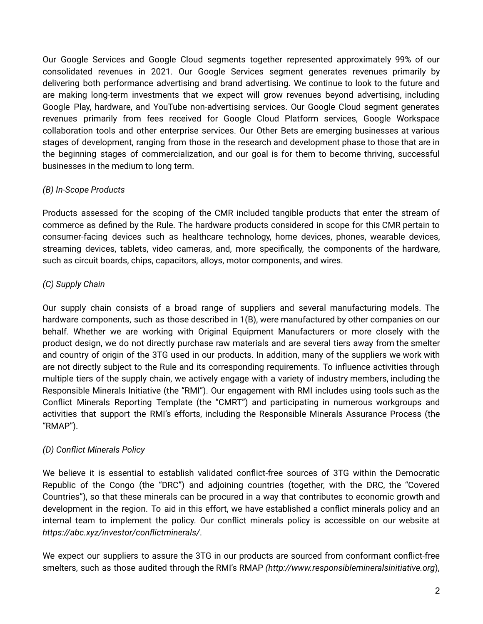Our Google Services and Google Cloud segments together represented approximately 99% of our consolidated revenues in 2021. Our Google Services segment generates revenues primarily by delivering both performance advertising and brand advertising. We continue to look to the future and are making long-term investments that we expect will grow revenues beyond advertising, including Google Play, hardware, and YouTube non-advertising services. Our Google Cloud segment generates revenues primarily from fees received for Google Cloud Platform services, Google Workspace collaboration tools and other enterprise services. Our Other Bets are emerging businesses at various stages of development, ranging from those in the research and development phase to those that are in the beginning stages of commercialization, and our goal is for them to become thriving, successful businesses in the medium to long term.

### *(B) In-Scope Products*

Products assessed for the scoping of the CMR included tangible products that enter the stream of commerce as defined by the Rule. The hardware products considered in scope for this CMR pertain to consumer-facing devices such as healthcare technology, home devices, phones, wearable devices, streaming devices, tablets, video cameras, and, more specifically, the components of the hardware, such as circuit boards, chips, capacitors, alloys, motor components, and wires.

# *(C) Supply Chain*

Our supply chain consists of a broad range of suppliers and several manufacturing models. The hardware components, such as those described in 1(B), were manufactured by other companies on our behalf. Whether we are working with Original Equipment Manufacturers or more closely with the product design, we do not directly purchase raw materials and are several tiers away from the smelter and country of origin of the 3TG used in our products. In addition, many of the suppliers we work with are not directly subject to the Rule and its corresponding requirements. To influence activities through multiple tiers of the supply chain, we actively engage with a variety of industry members, including the Responsible Minerals Initiative (the "RMI"). Our engagement with RMI includes using tools such as the Conflict Minerals Reporting Template (the "CMRT") and participating in numerous workgroups and activities that support the RMI's efforts, including the Responsible Minerals Assurance Process (the "RMAP").

### *(D) Conflict Minerals Policy*

We believe it is essential to establish validated conflict-free sources of 3TG within the Democratic Republic of the Congo (the "DRC") and adjoining countries (together, with the DRC, the "Covered Countries"), so that these minerals can be procured in a way that contributes to economic growth and development in the region. To aid in this effort, we have established a conflict minerals policy and an internal team to implement the policy. Our conflict minerals policy is accessible on our website at *https://abc.xyz/investor/conflictminerals/*.

We expect our suppliers to assure the 3TG in our products are sourced from conformant conflict-free smelters, such as those audited through the RMI's RMAP *(http://www.responsiblemineralsinitiative.org*),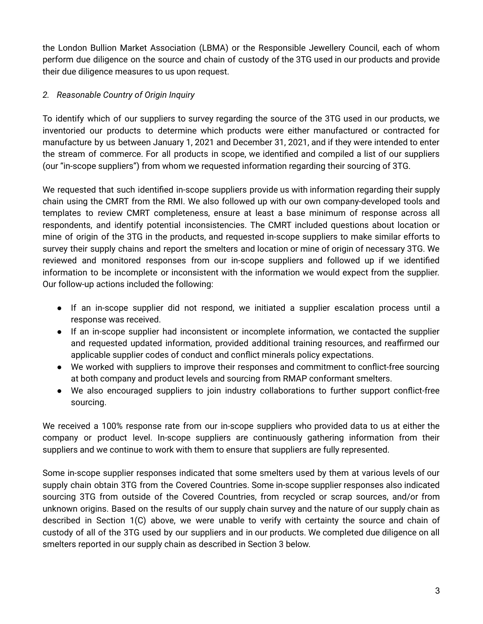the London Bullion Market Association (LBMA) or the Responsible Jewellery Council, each of whom perform due diligence on the source and chain of custody of the 3TG used in our products and provide their due diligence measures to us upon request.

# *2. Reasonable Country of Origin Inquiry*

To identify which of our suppliers to survey regarding the source of the 3TG used in our products, we inventoried our products to determine which products were either manufactured or contracted for manufacture by us between January 1, 2021 and December 31, 2021, and if they were intended to enter the stream of commerce. For all products in scope, we identified and compiled a list of our suppliers (our "in-scope suppliers") from whom we requested information regarding their sourcing of 3TG.

We requested that such identified in-scope suppliers provide us with information regarding their supply chain using the CMRT from the RMI. We also followed up with our own company-developed tools and templates to review CMRT completeness, ensure at least a base minimum of response across all respondents, and identify potential inconsistencies. The CMRT included questions about location or mine of origin of the 3TG in the products, and requested in-scope suppliers to make similar efforts to survey their supply chains and report the smelters and location or mine of origin of necessary 3TG. We reviewed and monitored responses from our in-scope suppliers and followed up if we identified information to be incomplete or inconsistent with the information we would expect from the supplier. Our follow-up actions included the following:

- If an in-scope supplier did not respond, we initiated a supplier escalation process until a response was received.
- If an in-scope supplier had inconsistent or incomplete information, we contacted the supplier and requested updated information, provided additional training resources, and reaffirmed our applicable supplier codes of conduct and conflict minerals policy expectations.
- We worked with suppliers to improve their responses and commitment to conflict-free sourcing at both company and product levels and sourcing from RMAP conformant smelters.
- We also encouraged suppliers to join industry collaborations to further support conflict-free sourcing.

We received a 100% response rate from our in-scope suppliers who provided data to us at either the company or product level. In-scope suppliers are continuously gathering information from their suppliers and we continue to work with them to ensure that suppliers are fully represented.

Some in-scope supplier responses indicated that some smelters used by them at various levels of our supply chain obtain 3TG from the Covered Countries. Some in-scope supplier responses also indicated sourcing 3TG from outside of the Covered Countries, from recycled or scrap sources, and/or from unknown origins. Based on the results of our supply chain survey and the nature of our supply chain as described in Section 1(C) above, we were unable to verify with certainty the source and chain of custody of all of the 3TG used by our suppliers and in our products. We completed due diligence on all smelters reported in our supply chain as described in Section 3 below.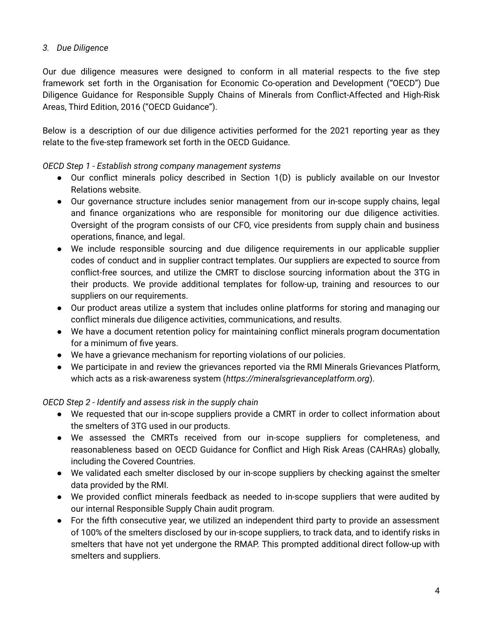# *3. Due Diligence*

Our due diligence measures were designed to conform in all material respects to the five step framework set forth in the Organisation for Economic Co-operation and Development ("OECD") Due Diligence Guidance for Responsible Supply Chains of Minerals from Conflict-Affected and High-Risk Areas, Third Edition, 2016 ("OECD Guidance").

Below is a description of our due diligence activities performed for the 2021 reporting year as they relate to the five-step framework set forth in the OECD Guidance.

*OECD Step 1 - Establish strong company management systems*

- Our conflict minerals policy described in Section 1(D) is publicly available on our Investor Relations website.
- Our governance structure includes senior management from our in-scope supply chains, legal and finance organizations who are responsible for monitoring our due diligence activities. Oversight of the program consists of our CFO, vice presidents from supply chain and business operations, finance, and legal.
- We include responsible sourcing and due diligence requirements in our applicable supplier codes of conduct and in supplier contract templates. Our suppliers are expected to source from conflict-free sources, and utilize the CMRT to disclose sourcing information about the 3TG in their products. We provide additional templates for follow-up, training and resources to our suppliers on our requirements.
- Our product areas utilize a system that includes online platforms for storing and managing our conflict minerals due diligence activities, communications, and results.
- We have a document retention policy for maintaining conflict minerals program documentation for a minimum of five years.
- We have a grievance mechanism for reporting violations of our policies.
- We participate in and review the grievances reported via the RMI Minerals Grievances Platform, which acts as a risk-awareness system (*https://mineralsgrievanceplatform.org*).

*OECD Step 2 - Identify and assess risk in the supply chain*

- We requested that our in-scope suppliers provide a CMRT in order to collect information about the smelters of 3TG used in our products.
- We assessed the CMRTs received from our in-scope suppliers for completeness, and reasonableness based on OECD Guidance for Conflict and High Risk Areas (CAHRAs) globally, including the Covered Countries.
- We validated each smelter disclosed by our in-scope suppliers by checking against the smelter data provided by the RMI.
- We provided conflict minerals feedback as needed to in-scope suppliers that were audited by our internal Responsible Supply Chain audit program.
- For the fifth consecutive year, we utilized an independent third party to provide an assessment of 100% of the smelters disclosed by our in-scope suppliers, to track data, and to identify risks in smelters that have not yet undergone the RMAP. This prompted additional direct follow-up with smelters and suppliers.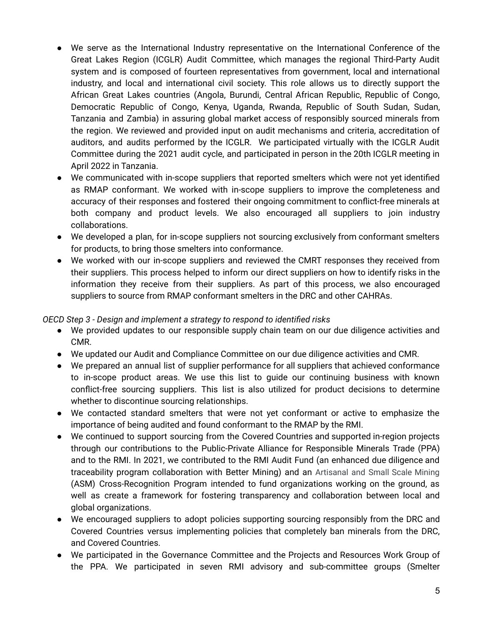- We serve as the International Industry representative on the International Conference of the Great Lakes Region (ICGLR) Audit Committee, which manages the regional Third-Party Audit system and is composed of fourteen representatives from government, local and international industry, and local and international civil society. This role allows us to directly support the African Great Lakes countries (Angola, Burundi, Central African Republic, Republic of Congo, Democratic Republic of Congo, Kenya, Uganda, Rwanda, Republic of South Sudan, Sudan, Tanzania and Zambia) in assuring global market access of responsibly sourced minerals from the region. We reviewed and provided input on audit mechanisms and criteria, accreditation of auditors, and audits performed by the ICGLR. We participated virtually with the ICGLR Audit Committee during the 2021 audit cycle, and participated in person in the 20th ICGLR meeting in April 2022 in Tanzania.
- We communicated with in-scope suppliers that reported smelters which were not yet identified as RMAP conformant. We worked with in-scope suppliers to improve the completeness and accuracy of their responses and fostered their ongoing commitment to conflict-free minerals at both company and product levels. We also encouraged all suppliers to join industry collaborations.
- We developed a plan, for in-scope suppliers not sourcing exclusively from conformant smelters for products, to bring those smelters into conformance.
- We worked with our in-scope suppliers and reviewed the CMRT responses they received from their suppliers. This process helped to inform our direct suppliers on how to identify risks in the information they receive from their suppliers. As part of this process, we also encouraged suppliers to source from RMAP conformant smelters in the DRC and other CAHRAs.

*OECD Step 3 - Design and implement a strategy to respond to identified risks*

- We provided updates to our responsible supply chain team on our due diligence activities and CMR.
- We updated our Audit and Compliance Committee on our due diligence activities and CMR.
- We prepared an annual list of supplier performance for all suppliers that achieved conformance to in-scope product areas. We use this list to guide our continuing business with known conflict-free sourcing suppliers. This list is also utilized for product decisions to determine whether to discontinue sourcing relationships.
- We contacted standard smelters that were not yet conformant or active to emphasize the importance of being audited and found conformant to the RMAP by the RMI.
- We continued to support sourcing from the Covered Countries and supported in-region projects through our contributions to the Public-Private Alliance for Responsible Minerals Trade (PPA) and to the RMI. In 2021, we contributed to the RMI Audit Fund (an enhanced due diligence and traceability program collaboration with Better Mining) and an Artisanal and Small Scale Mining (ASM) Cross-Recognition Program intended to fund organizations working on the ground, as well as create a framework for fostering transparency and collaboration between local and global organizations.
- We encouraged suppliers to adopt policies supporting sourcing responsibly from the DRC and Covered Countries versus implementing policies that completely ban minerals from the DRC, and Covered Countries.
- We participated in the Governance Committee and the Projects and Resources Work Group of the PPA. We participated in seven RMI advisory and sub-committee groups (Smelter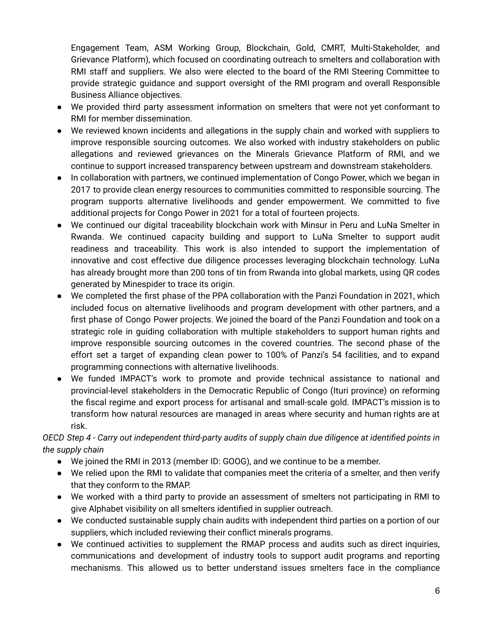Engagement Team, ASM Working Group, Blockchain, Gold, CMRT, Multi-Stakeholder, and Grievance Platform), which focused on coordinating outreach to smelters and collaboration with RMI staff and suppliers. We also were elected to the board of the RMI Steering Committee to provide strategic guidance and support oversight of the RMI program and overall Responsible Business Alliance objectives.

- We provided third party assessment information on smelters that were not yet conformant to RMI for member dissemination.
- We reviewed known incidents and allegations in the supply chain and worked with suppliers to improve responsible sourcing outcomes. We also worked with industry stakeholders on public allegations and reviewed grievances on the Minerals Grievance Platform of RMI, and we continue to support increased transparency between upstream and downstream stakeholders.
- In collaboration with partners, we continued implementation of Congo Power, which we began in 2017 to provide clean energy resources to communities committed to responsible sourcing. The program supports alternative livelihoods and gender empowerment. We committed to five additional projects for Congo Power in 2021 for a total of fourteen projects.
- We continued our digital traceability blockchain work with Minsur in Peru and LuNa Smelter in Rwanda. We continued capacity building and support to LuNa Smelter to support audit readiness and traceability. This work is also intended to support the implementation of innovative and cost effective due diligence processes leveraging blockchain technology. LuNa has already brought more than 200 tons of tin from Rwanda into global markets, using QR codes generated by Minespider to trace its origin.
- We completed the first phase of the PPA collaboration with the Panzi Foundation in 2021, which included focus on alternative livelihoods and program development with other partners, and a first phase of Congo Power projects. We joined the board of the Panzi Foundation and took on a strategic role in guiding collaboration with multiple stakeholders to support human rights and improve responsible sourcing outcomes in the covered countries. The second phase of the effort set a target of expanding clean power to 100% of Panzi's 54 facilities, and to expand programming connections with alternative livelihoods.
- We funded IMPACT's work to promote and provide technical assistance to national and provincial-level stakeholders in the Democratic Republic of Congo (Ituri province) on reforming the fiscal regime and export process for artisanal and small-scale gold. IMPACT's mission is to transform how natural resources are managed in areas where security and human rights are at risk.

# OECD Step 4 - Carry out independent third-party audits of supply chain due diligence at identified points in *the supply chain*

- We joined the RMI in 2013 (member ID: GOOG), and we continue to be a member.
- We relied upon the RMI to validate that companies meet the criteria of a smelter, and then verify that they conform to the RMAP.
- We worked with a third party to provide an assessment of smelters not participating in RMI to give Alphabet visibility on all smelters identified in supplier outreach.
- We conducted sustainable supply chain audits with independent third parties on a portion of our suppliers, which included reviewing their conflict minerals programs.
- We continued activities to supplement the RMAP process and audits such as direct inquiries, communications and development of industry tools to support audit programs and reporting mechanisms. This allowed us to better understand issues smelters face in the compliance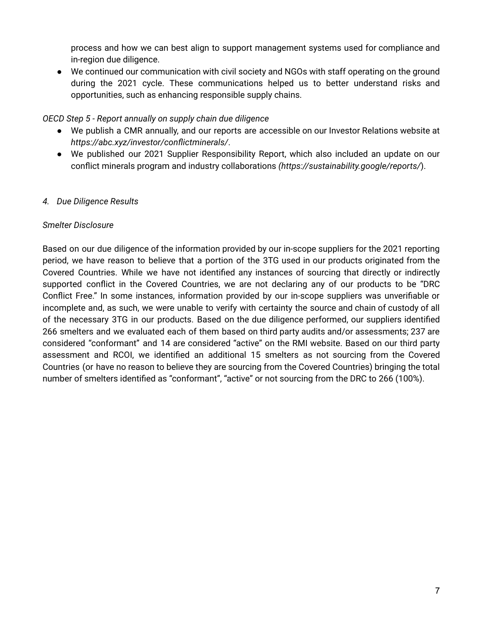process and how we can best align to support management systems used for compliance and in-region due diligence.

● We continued our communication with civil society and NGOs with staff operating on the ground during the 2021 cycle. These communications helped us to better understand risks and opportunities, such as enhancing responsible supply chains.

### *OECD Step 5 - Report annually on supply chain due diligence*

- We publish a CMR annually, and our reports are accessible on our Investor Relations website at *https://abc.xyz/investor/conflictminerals/*.
- We published our 2021 Supplier Responsibility Report, which also included an update on our conflict minerals program and industry collaborations *(https://sustainability.google/reports/*).

# *4. Due Diligence Results*

### *Smelter Disclosure*

Based on our due diligence of the information provided by our in-scope suppliers for the 2021 reporting period, we have reason to believe that a portion of the 3TG used in our products originated from the Covered Countries. While we have not identified any instances of sourcing that directly or indirectly supported conflict in the Covered Countries, we are not declaring any of our products to be "DRC Conflict Free." In some instances, information provided by our in-scope suppliers was unverifiable or incomplete and, as such, we were unable to verify with certainty the source and chain of custody of all of the necessary 3TG in our products. Based on the due diligence performed, our suppliers identified 266 smelters and we evaluated each of them based on third party audits and/or assessments; 237 are considered "conformant" and 14 are considered "active" on the RMI website. Based on our third party assessment and RCOI, we identified an additional 15 smelters as not sourcing from the Covered Countries (or have no reason to believe they are sourcing from the Covered Countries) bringing the total number of smelters identified as "conformant", "active" or not sourcing from the DRC to 266 (100%).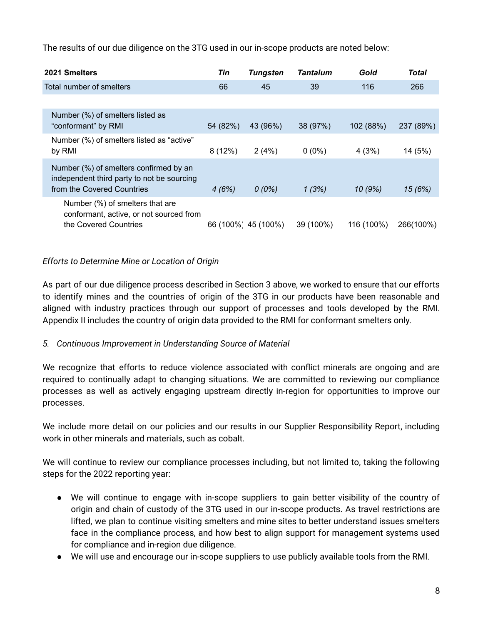The results of our due diligence on the 3TG used in our in-scope products are noted below:

| 2021 Smelters                                                                                                      | Tin      | <b>Tungsten</b>    | <b>Tantalum</b> | Gold       | Total     |
|--------------------------------------------------------------------------------------------------------------------|----------|--------------------|-----------------|------------|-----------|
| Total number of smelters                                                                                           | 66       | 45                 | 39              | 116        | 266       |
|                                                                                                                    |          |                    |                 |            |           |
| Number (%) of smelters listed as<br>"conformant" by RMI                                                            | 54 (82%) | 43 (96%)           | 38 (97%)        | 102 (88%)  | 237 (89%) |
| Number (%) of smelters listed as "active"<br>by RMI                                                                | 8(12%)   | 2(4%)              | $0(0\%)$        | 4(3%)      | 14 (5%)   |
| Number (%) of smelters confirmed by an<br>independent third party to not be sourcing<br>from the Covered Countries | 4(6%)    | $0(0\%)$           | 1(3%)           | 10(9%)     | 15 (6%)   |
| Number (%) of smelters that are<br>conformant, active, or not sourced from<br>the Covered Countries                |          | 66 (100% 45 (100%) | 39 (100%)       | 116 (100%) | 266(100%) |

# *Efforts to Determine Mine or Location of Origin*

As part of our due diligence process described in Section 3 above, we worked to ensure that our efforts to identify mines and the countries of origin of the 3TG in our products have been reasonable and aligned with industry practices through our support of processes and tools developed by the RMI. Appendix II includes the country of origin data provided to the RMI for conformant smelters only.

### *5. Continuous Improvement in Understanding Source of Material*

We recognize that efforts to reduce violence associated with conflict minerals are ongoing and are required to continually adapt to changing situations. We are committed to reviewing our compliance processes as well as actively engaging upstream directly in-region for opportunities to improve our processes.

We include more detail on our policies and our results in our Supplier Responsibility Report, including work in other minerals and materials, such as cobalt.

We will continue to review our compliance processes including, but not limited to, taking the following steps for the 2022 reporting year:

- We will continue to engage with in-scope suppliers to gain better visibility of the country of origin and chain of custody of the 3TG used in our in-scope products. As travel restrictions are lifted, we plan to continue visiting smelters and mine sites to better understand issues smelters face in the compliance process, and how best to align support for management systems used for compliance and in-region due diligence.
- We will use and encourage our in-scope suppliers to use publicly available tools from the RMI.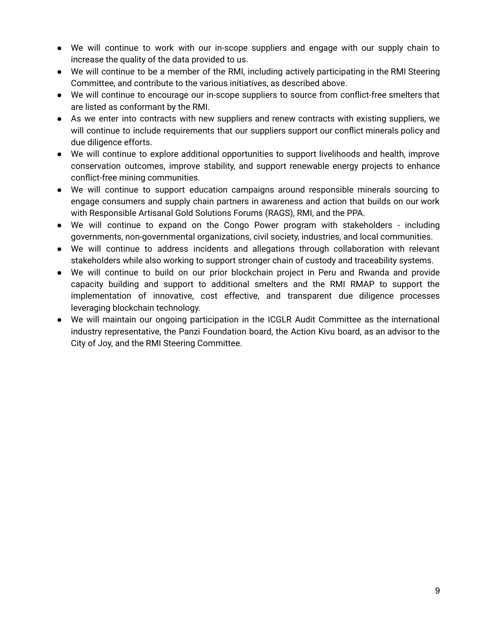- We will continue to work with our in-scope suppliers and engage with our supply chain to increase the quality of the data provided to us.
- We will continue to be a member of the RMI, including actively participating in the RMI Steering Committee, and contribute to the various initiatives, as described above.
- We will continue to encourage our in-scope suppliers to source from conflict-free smelters that are listed as conformant by the RMI.
- As we enter into contracts with new suppliers and renew contracts with existing suppliers, we will continue to include requirements that our suppliers support our conflict minerals policy and due diligence efforts.
- We will continue to explore additional opportunities to support livelihoods and health, improve conservation outcomes, improve stability, and support renewable energy projects to enhance conflict-free mining communities.
- We will continue to support education campaigns around responsible minerals sourcing to engage consumers and supply chain partners in awareness and action that builds on our work with Responsible Artisanal Gold Solutions Forums (RAGS), RMI, and the PPA.
- We will continue to expand on the Congo Power program with stakeholders including governments, non-governmental organizations, civil society, industries, and local communities.
- We will continue to address incidents and allegations through collaboration with relevant stakeholders while also working to support stronger chain of custody and traceability systems.
- We will continue to build on our prior blockchain project in Peru and Rwanda and provide capacity building and support to additional smelters and the RMI RMAP to support the implementation of innovative, cost effective, and transparent due diligence processes leveraging blockchain technology.
- We will maintain our ongoing participation in the ICGLR Audit Committee as the international industry representative, the Panzi Foundation board, the Action Kivu board, as an advisor to the City of Joy, and the RMI Steering Committee.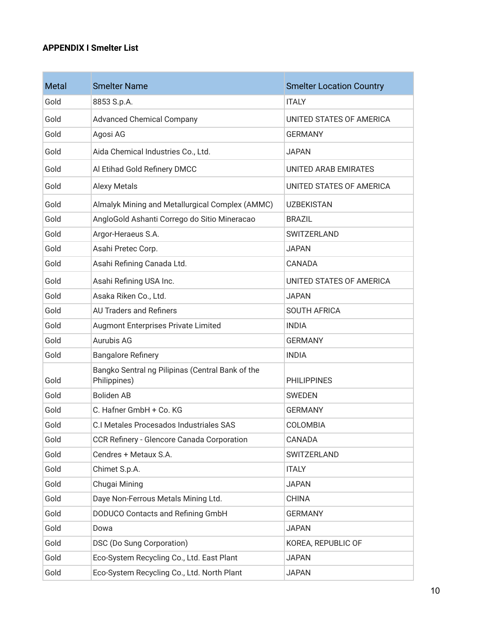### **APPENDIX I Smelter List**

\_\_\_\_

| Metal | <b>Smelter Name</b>                                              | <b>Smelter Location Country</b> |
|-------|------------------------------------------------------------------|---------------------------------|
| Gold  | 8853 S.p.A.                                                      | <b>ITALY</b>                    |
| Gold  | <b>Advanced Chemical Company</b>                                 | UNITED STATES OF AMERICA        |
| Gold  | Agosi AG                                                         | <b>GERMANY</b>                  |
| Gold  | Aida Chemical Industries Co., Ltd.                               | <b>JAPAN</b>                    |
| Gold  | Al Etihad Gold Refinery DMCC                                     | UNITED ARAB EMIRATES            |
| Gold  | <b>Alexy Metals</b>                                              | UNITED STATES OF AMERICA        |
| Gold  | Almalyk Mining and Metallurgical Complex (AMMC)                  | <b>UZBEKISTAN</b>               |
| Gold  | AngloGold Ashanti Corrego do Sitio Mineracao                     | <b>BRAZIL</b>                   |
| Gold  | Argor-Heraeus S.A.                                               | SWITZERLAND                     |
| Gold  | Asahi Pretec Corp.                                               | <b>JAPAN</b>                    |
| Gold  | Asahi Refining Canada Ltd.                                       | CANADA                          |
| Gold  | Asahi Refining USA Inc.                                          | UNITED STATES OF AMERICA        |
| Gold  | Asaka Riken Co., Ltd.                                            | <b>JAPAN</b>                    |
| Gold  | <b>AU Traders and Refiners</b>                                   | <b>SOUTH AFRICA</b>             |
| Gold  | Augmont Enterprises Private Limited                              | <b>INDIA</b>                    |
| Gold  | Aurubis AG                                                       | <b>GERMANY</b>                  |
| Gold  | <b>Bangalore Refinery</b>                                        | <b>INDIA</b>                    |
| Gold  | Bangko Sentral ng Pilipinas (Central Bank of the<br>Philippines) | <b>PHILIPPINES</b>              |
| Gold  | <b>Boliden AB</b>                                                | <b>SWEDEN</b>                   |
| Gold  | C. Hafner GmbH + Co. KG                                          | <b>GERMANY</b>                  |
| Gold  | C.I Metales Procesados Industriales SAS                          | COLOMBIA                        |
| Gold  | CCR Refinery - Glencore Canada Corporation                       | CANADA                          |
| Gold  | Cendres + Metaux S.A.                                            | SWITZERLAND                     |
| Gold  | Chimet S.p.A.                                                    | <b>ITALY</b>                    |
| Gold  | Chugai Mining                                                    | <b>JAPAN</b>                    |
| Gold  | Daye Non-Ferrous Metals Mining Ltd.                              | <b>CHINA</b>                    |
| Gold  | DODUCO Contacts and Refining GmbH                                | <b>GERMANY</b>                  |
| Gold  | Dowa                                                             | <b>JAPAN</b>                    |
| Gold  | DSC (Do Sung Corporation)                                        | KOREA, REPUBLIC OF              |
| Gold  | Eco-System Recycling Co., Ltd. East Plant                        | <b>JAPAN</b>                    |
| Gold  | Eco-System Recycling Co., Ltd. North Plant                       | <b>JAPAN</b>                    |

the control of the control of the control of the control of the control of the control of the control of the control of the control of the control of the control of the control of the control of the control of the control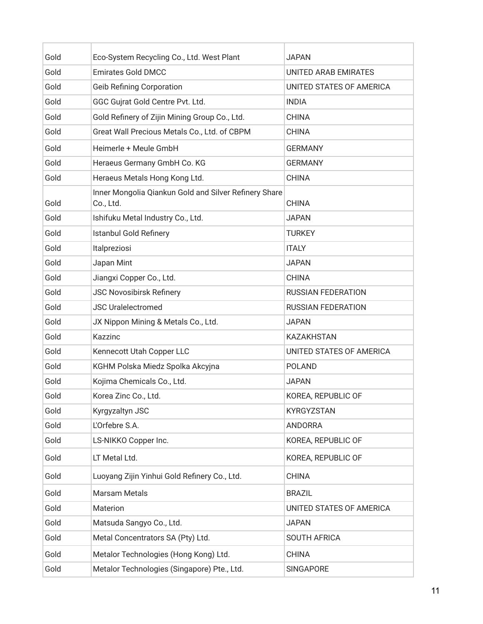| Gold | Eco-System Recycling Co., Ltd. West Plant                          | <b>JAPAN</b>              |
|------|--------------------------------------------------------------------|---------------------------|
| Gold | <b>Emirates Gold DMCC</b>                                          | UNITED ARAB EMIRATES      |
| Gold | <b>Geib Refining Corporation</b>                                   | UNITED STATES OF AMERICA  |
| Gold | GGC Gujrat Gold Centre Pvt. Ltd.                                   | <b>INDIA</b>              |
| Gold | Gold Refinery of Zijin Mining Group Co., Ltd.                      | <b>CHINA</b>              |
| Gold | Great Wall Precious Metals Co., Ltd. of CBPM                       | <b>CHINA</b>              |
| Gold | Heimerle + Meule GmbH                                              | <b>GERMANY</b>            |
| Gold | Heraeus Germany GmbH Co. KG                                        | <b>GERMANY</b>            |
| Gold | Heraeus Metals Hong Kong Ltd.                                      | <b>CHINA</b>              |
| Gold | Inner Mongolia Qiankun Gold and Silver Refinery Share<br>Co., Ltd. | <b>CHINA</b>              |
| Gold | Ishifuku Metal Industry Co., Ltd.                                  | <b>JAPAN</b>              |
| Gold | <b>Istanbul Gold Refinery</b>                                      | <b>TURKEY</b>             |
| Gold | Italpreziosi                                                       | <b>ITALY</b>              |
| Gold | Japan Mint                                                         | <b>JAPAN</b>              |
| Gold | Jiangxi Copper Co., Ltd.                                           | <b>CHINA</b>              |
| Gold | <b>JSC Novosibirsk Refinery</b>                                    | <b>RUSSIAN FEDERATION</b> |
| Gold | <b>JSC Uralelectromed</b>                                          | <b>RUSSIAN FEDERATION</b> |
| Gold | JX Nippon Mining & Metals Co., Ltd.                                | <b>JAPAN</b>              |
| Gold | Kazzinc                                                            | <b>KAZAKHSTAN</b>         |
| Gold | Kennecott Utah Copper LLC                                          | UNITED STATES OF AMERICA  |
| Gold | KGHM Polska Miedz Spolka Akcyjna                                   | <b>POLAND</b>             |
| Gold | Kojima Chemicals Co., Ltd.                                         | <b>JAPAN</b>              |
| Gold | Korea Zinc Co., Ltd.                                               | KOREA, REPUBLIC OF        |
| Gold | Kyrgyzaltyn JSC                                                    | KYRGYZSTAN                |
| Gold | L'Orfebre S.A.                                                     | <b>ANDORRA</b>            |
| Gold | LS-NIKKO Copper Inc.                                               | KOREA, REPUBLIC OF        |
| Gold | LT Metal Ltd.                                                      | KOREA, REPUBLIC OF        |
| Gold | Luoyang Zijin Yinhui Gold Refinery Co., Ltd.                       | <b>CHINA</b>              |
| Gold | <b>Marsam Metals</b>                                               | <b>BRAZIL</b>             |
| Gold | Materion                                                           | UNITED STATES OF AMERICA  |
| Gold | Matsuda Sangyo Co., Ltd.                                           | <b>JAPAN</b>              |
| Gold | Metal Concentrators SA (Pty) Ltd.                                  | <b>SOUTH AFRICA</b>       |
| Gold | Metalor Technologies (Hong Kong) Ltd.                              | <b>CHINA</b>              |
| Gold | Metalor Technologies (Singapore) Pte., Ltd.                        | SINGAPORE                 |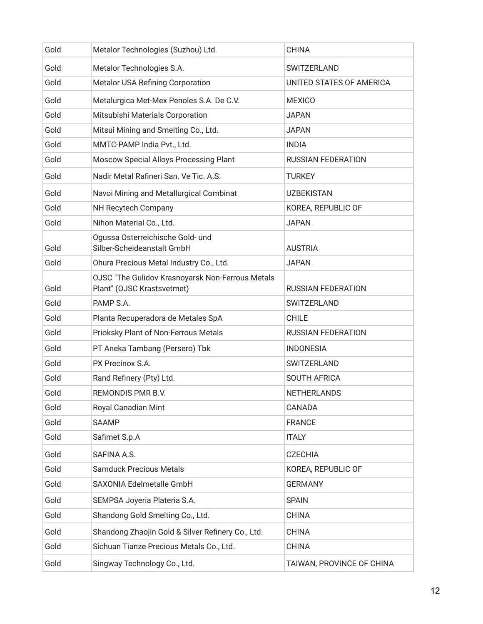| Gold | Metalor Technologies (Suzhou) Ltd.                                             | <b>CHINA</b>              |
|------|--------------------------------------------------------------------------------|---------------------------|
| Gold | Metalor Technologies S.A.                                                      | SWITZERLAND               |
| Gold | Metalor USA Refining Corporation                                               | UNITED STATES OF AMERICA  |
| Gold | Metalurgica Met-Mex Penoles S.A. De C.V.                                       | <b>MEXICO</b>             |
| Gold | Mitsubishi Materials Corporation                                               | <b>JAPAN</b>              |
| Gold | Mitsui Mining and Smelting Co., Ltd.                                           | <b>JAPAN</b>              |
| Gold | MMTC-PAMP India Pvt., Ltd.                                                     | <b>INDIA</b>              |
| Gold | Moscow Special Alloys Processing Plant                                         | <b>RUSSIAN FEDERATION</b> |
| Gold | Nadir Metal Rafineri San. Ve Tic. A.S.                                         | <b>TURKEY</b>             |
| Gold | Navoi Mining and Metallurgical Combinat                                        | <b>UZBEKISTAN</b>         |
| Gold | NH Recytech Company                                                            | KOREA, REPUBLIC OF        |
| Gold | Nihon Material Co., Ltd.                                                       | <b>JAPAN</b>              |
| Gold | Ogussa Osterreichische Gold- und<br>Silber-Scheideanstalt GmbH                 | <b>AUSTRIA</b>            |
| Gold | Ohura Precious Metal Industry Co., Ltd.                                        | <b>JAPAN</b>              |
| Gold | OJSC "The Gulidov Krasnoyarsk Non-Ferrous Metals<br>Plant" (OJSC Krastsvetmet) | <b>RUSSIAN FEDERATION</b> |
| Gold | PAMP S.A.                                                                      | SWITZERLAND               |
| Gold | Planta Recuperadora de Metales SpA                                             | <b>CHILE</b>              |
| Gold | Prioksky Plant of Non-Ferrous Metals                                           | <b>RUSSIAN FEDERATION</b> |
| Gold | PT Aneka Tambang (Persero) Tbk                                                 | <b>INDONESIA</b>          |
| Gold | PX Precinox S.A.                                                               | SWITZERLAND               |
| Gold | Rand Refinery (Pty) Ltd.                                                       | <b>SOUTH AFRICA</b>       |
| Gold | REMONDIS PMR B.V.                                                              | NETHERLANDS               |
| Gold | Royal Canadian Mint                                                            | CANADA                    |
| Gold | <b>SAAMP</b>                                                                   | <b>FRANCE</b>             |
| Gold | Safimet S.p.A                                                                  | <b>ITALY</b>              |
| Gold | SAFINA A.S.                                                                    | <b>CZECHIA</b>            |
| Gold | <b>Samduck Precious Metals</b>                                                 | KOREA, REPUBLIC OF        |
| Gold | SAXONIA Edelmetalle GmbH                                                       | <b>GERMANY</b>            |
| Gold | SEMPSA Joyeria Plateria S.A.                                                   | <b>SPAIN</b>              |
| Gold | Shandong Gold Smelting Co., Ltd.                                               | <b>CHINA</b>              |
| Gold | Shandong Zhaojin Gold & Silver Refinery Co., Ltd.                              | <b>CHINA</b>              |
| Gold | Sichuan Tianze Precious Metals Co., Ltd.                                       | <b>CHINA</b>              |
| Gold | Singway Technology Co., Ltd.                                                   | TAIWAN, PROVINCE OF CHINA |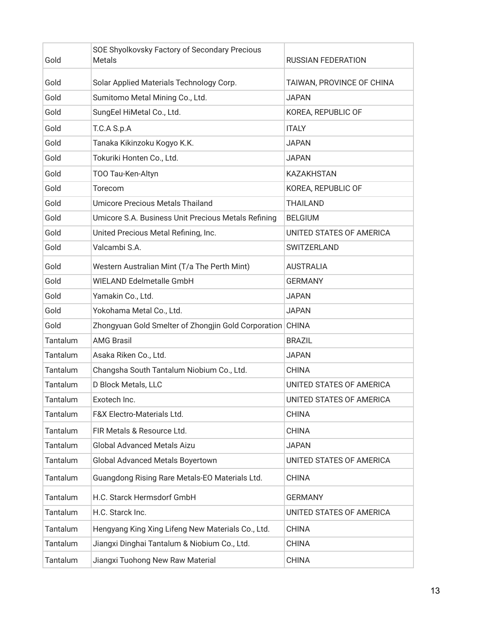| Gold     | SOE Shyolkovsky Factory of Secondary Precious<br>Metals   | <b>RUSSIAN FEDERATION</b> |
|----------|-----------------------------------------------------------|---------------------------|
| Gold     | Solar Applied Materials Technology Corp.                  | TAIWAN, PROVINCE OF CHINA |
| Gold     | Sumitomo Metal Mining Co., Ltd.                           | <b>JAPAN</b>              |
| Gold     | SungEel HiMetal Co., Ltd.                                 | KOREA, REPUBLIC OF        |
| Gold     | T.C.A S.p.A                                               | <b>ITALY</b>              |
| Gold     | Tanaka Kikinzoku Kogyo K.K.                               | <b>JAPAN</b>              |
| Gold     | Tokuriki Honten Co., Ltd.                                 | <b>JAPAN</b>              |
| Gold     | TOO Tau-Ken-Altyn                                         | <b>KAZAKHSTAN</b>         |
| Gold     | Torecom                                                   | KOREA, REPUBLIC OF        |
| Gold     | Umicore Precious Metals Thailand                          | <b>THAILAND</b>           |
| Gold     | Umicore S.A. Business Unit Precious Metals Refining       | <b>BELGIUM</b>            |
| Gold     | United Precious Metal Refining, Inc.                      | UNITED STATES OF AMERICA  |
| Gold     | Valcambi S.A.                                             | SWITZERLAND               |
| Gold     | Western Australian Mint (T/a The Perth Mint)              | <b>AUSTRALIA</b>          |
| Gold     | <b>WIELAND Edelmetalle GmbH</b>                           | <b>GERMANY</b>            |
| Gold     | Yamakin Co., Ltd.                                         | <b>JAPAN</b>              |
| Gold     | Yokohama Metal Co., Ltd.                                  | <b>JAPAN</b>              |
| Gold     | Zhongyuan Gold Smelter of Zhongjin Gold Corporation CHINA |                           |
| Tantalum | <b>AMG Brasil</b>                                         | <b>BRAZIL</b>             |
| Tantalum | Asaka Riken Co., Ltd.                                     | <b>JAPAN</b>              |
| Tantalum | Changsha South Tantalum Niobium Co., Ltd.                 | <b>CHINA</b>              |
| Tantalum | D Block Metals, LLC                                       | UNITED STATES OF AMERICA  |
| Tantalum | Exotech Inc.                                              | UNITED STATES OF AMERICA  |
| Tantalum | F&X Electro-Materials Ltd.                                | <b>CHINA</b>              |
| Tantalum | FIR Metals & Resource Ltd.                                | <b>CHINA</b>              |
| Tantalum | <b>Global Advanced Metals Aizu</b>                        | <b>JAPAN</b>              |
| Tantalum | Global Advanced Metals Boyertown                          | UNITED STATES OF AMERICA  |
| Tantalum | Guangdong Rising Rare Metals-EO Materials Ltd.            | <b>CHINA</b>              |
| Tantalum | H.C. Starck Hermsdorf GmbH                                | <b>GERMANY</b>            |
| Tantalum | H.C. Starck Inc.                                          | UNITED STATES OF AMERICA  |
| Tantalum | Hengyang King Xing Lifeng New Materials Co., Ltd.         | <b>CHINA</b>              |
| Tantalum | Jiangxi Dinghai Tantalum & Niobium Co., Ltd.              | <b>CHINA</b>              |
| Tantalum | Jiangxi Tuohong New Raw Material                          | <b>CHINA</b>              |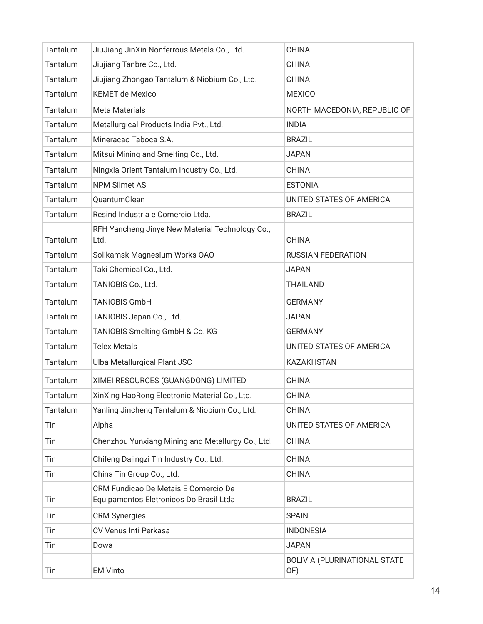| Tantalum | JiuJiang JinXin Nonferrous Metals Co., Ltd.                                     | <b>CHINA</b>                        |
|----------|---------------------------------------------------------------------------------|-------------------------------------|
| Tantalum | Jiujiang Tanbre Co., Ltd.                                                       | <b>CHINA</b>                        |
| Tantalum | Jiujiang Zhongao Tantalum & Niobium Co., Ltd.                                   | <b>CHINA</b>                        |
| Tantalum | <b>KEMET de Mexico</b>                                                          | <b>MEXICO</b>                       |
| Tantalum | <b>Meta Materials</b>                                                           | NORTH MACEDONIA, REPUBLIC OF        |
| Tantalum | Metallurgical Products India Pvt., Ltd.                                         | <b>INDIA</b>                        |
| Tantalum | Mineracao Taboca S.A.                                                           | <b>BRAZIL</b>                       |
| Tantalum | Mitsui Mining and Smelting Co., Ltd.                                            | <b>JAPAN</b>                        |
| Tantalum | Ningxia Orient Tantalum Industry Co., Ltd.                                      | <b>CHINA</b>                        |
| Tantalum | <b>NPM Silmet AS</b>                                                            | <b>ESTONIA</b>                      |
| Tantalum | QuantumClean                                                                    | UNITED STATES OF AMERICA            |
| Tantalum | Resind Industria e Comercio Ltda.                                               | <b>BRAZIL</b>                       |
| Tantalum | RFH Yancheng Jinye New Material Technology Co.,<br>Ltd.                         | <b>CHINA</b>                        |
| Tantalum | Solikamsk Magnesium Works OAO                                                   | <b>RUSSIAN FEDERATION</b>           |
| Tantalum | Taki Chemical Co., Ltd.                                                         | <b>JAPAN</b>                        |
| Tantalum | TANIOBIS Co., Ltd.                                                              | <b>THAILAND</b>                     |
| Tantalum | <b>TANIOBIS GmbH</b>                                                            | <b>GERMANY</b>                      |
| Tantalum | TANIOBIS Japan Co., Ltd.                                                        | <b>JAPAN</b>                        |
| Tantalum | TANIOBIS Smelting GmbH & Co. KG                                                 | <b>GERMANY</b>                      |
| Tantalum | <b>Telex Metals</b>                                                             | UNITED STATES OF AMERICA            |
| Tantalum | Ulba Metallurgical Plant JSC                                                    | <b>KAZAKHSTAN</b>                   |
| Tantalum | XIMEI RESOURCES (GUANGDONG) LIMITED                                             | <b>CHINA</b>                        |
| Tantalum | XinXing HaoRong Electronic Material Co., Ltd.                                   | <b>CHINA</b>                        |
| Tantalum | Yanling Jincheng Tantalum & Niobium Co., Ltd.                                   | <b>CHINA</b>                        |
| Tin      | Alpha                                                                           | UNITED STATES OF AMERICA            |
| Tin      | Chenzhou Yunxiang Mining and Metallurgy Co., Ltd.                               | <b>CHINA</b>                        |
| Tin      | Chifeng Dajingzi Tin Industry Co., Ltd.                                         | <b>CHINA</b>                        |
| Tin      | China Tin Group Co., Ltd.                                                       | <b>CHINA</b>                        |
| Tin      | CRM Fundicao De Metais E Comercio De<br>Equipamentos Eletronicos Do Brasil Ltda | <b>BRAZIL</b>                       |
| Tin      | <b>CRM Synergies</b>                                                            | <b>SPAIN</b>                        |
| Tin      | CV Venus Inti Perkasa                                                           | <b>INDONESIA</b>                    |
| Tin      | Dowa                                                                            | <b>JAPAN</b>                        |
| Tin      | <b>EM Vinto</b>                                                                 | BOLIVIA (PLURINATIONAL STATE<br>OF) |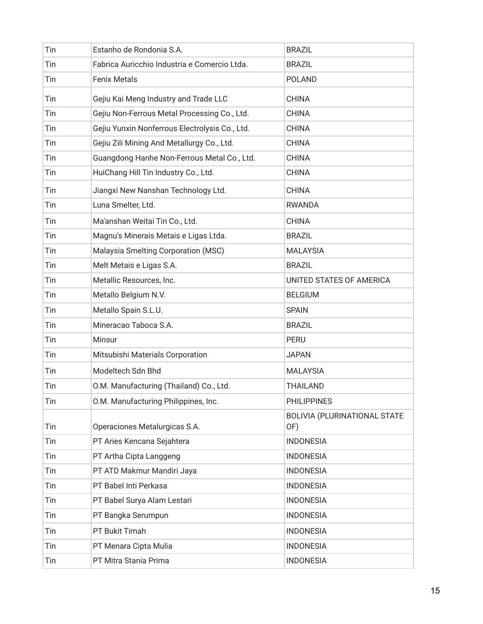| Tin | Estanho de Rondonia S.A.                       | <b>BRAZIL</b>                       |
|-----|------------------------------------------------|-------------------------------------|
| Tin | Fabrica Auricchio Industria e Comercio Ltda.   | <b>BRAZIL</b>                       |
| Tin | <b>Fenix Metals</b>                            | <b>POLAND</b>                       |
| Tin | Gejiu Kai Meng Industry and Trade LLC          | <b>CHINA</b>                        |
| Tin | Gejiu Non-Ferrous Metal Processing Co., Ltd.   | <b>CHINA</b>                        |
| Tin | Gejiu Yunxin Nonferrous Electrolysis Co., Ltd. | <b>CHINA</b>                        |
| Tin | Gejiu Zili Mining And Metallurgy Co., Ltd.     | <b>CHINA</b>                        |
| Tin | Guangdong Hanhe Non-Ferrous Metal Co., Ltd.    | <b>CHINA</b>                        |
| Tin | HuiChang Hill Tin Industry Co., Ltd.           | <b>CHINA</b>                        |
| Tin | Jiangxi New Nanshan Technology Ltd.            | <b>CHINA</b>                        |
| Tin | Luna Smelter, Ltd.                             | <b>RWANDA</b>                       |
| Tin | Ma'anshan Weitai Tin Co., Ltd.                 | <b>CHINA</b>                        |
| Tin | Magnu's Minerais Metais e Ligas Ltda.          | <b>BRAZIL</b>                       |
| Tin | Malaysia Smelting Corporation (MSC)            | <b>MALAYSIA</b>                     |
| Tin | Melt Metais e Ligas S.A.                       | <b>BRAZIL</b>                       |
| Tin | Metallic Resources, Inc.                       | UNITED STATES OF AMERICA            |
| Tin | Metallo Belgium N.V.                           | <b>BELGIUM</b>                      |
| Tin | Metallo Spain S.L.U.                           | <b>SPAIN</b>                        |
| Tin | Mineracao Taboca S.A.                          | <b>BRAZIL</b>                       |
| Tin | Minsur                                         | <b>PERU</b>                         |
| Tin | Mitsubishi Materials Corporation               | <b>JAPAN</b>                        |
| Tin | Modeltech Sdn Bhd                              | <b>MALAYSIA</b>                     |
| Tin | O.M. Manufacturing (Thailand) Co., Ltd.        | <b>THAILAND</b>                     |
| Tin | O.M. Manufacturing Philippines, Inc.           | <b>PHILIPPINES</b>                  |
| Tin | Operaciones Metalurgicas S.A.                  | BOLIVIA (PLURINATIONAL STATE<br>OF) |
| Tin | PT Aries Kencana Sejahtera                     | <b>INDONESIA</b>                    |
| Tin | PT Artha Cipta Langgeng                        | <b>INDONESIA</b>                    |
| Tin | PT ATD Makmur Mandiri Jaya                     | <b>INDONESIA</b>                    |
| Tin | PT Babel Inti Perkasa                          | <b>INDONESIA</b>                    |
| Tin | PT Babel Surya Alam Lestari                    | <b>INDONESIA</b>                    |
| Tin | PT Bangka Serumpun                             | <b>INDONESIA</b>                    |
| Tin | PT Bukit Timah                                 | <b>INDONESIA</b>                    |
| Tin | PT Menara Cipta Mulia                          | <b>INDONESIA</b>                    |
| Tin | PT Mitra Stania Prima                          | <b>INDONESIA</b>                    |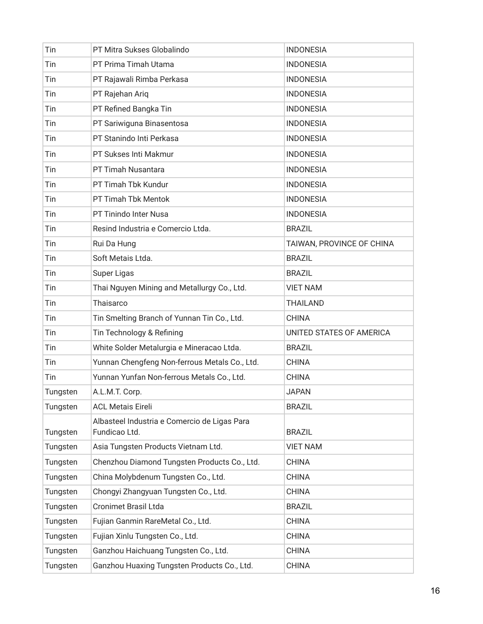| Tin      | PT Mitra Sukses Globalindo                                    | <b>INDONESIA</b>          |
|----------|---------------------------------------------------------------|---------------------------|
| Tin      | PT Prima Timah Utama                                          | <b>INDONESIA</b>          |
| Tin      | PT Rajawali Rimba Perkasa                                     | <b>INDONESIA</b>          |
| Tin      | PT Rajehan Ariq                                               | <b>INDONESIA</b>          |
| Tin      | PT Refined Bangka Tin                                         | <b>INDONESIA</b>          |
| Tin      | PT Sariwiguna Binasentosa                                     | <b>INDONESIA</b>          |
| Tin      | PT Stanindo Inti Perkasa                                      | <b>INDONESIA</b>          |
| Tin      | PT Sukses Inti Makmur                                         | <b>INDONESIA</b>          |
| Tin      | PT Timah Nusantara                                            | <b>INDONESIA</b>          |
| Tin      | PT Timah Tbk Kundur                                           | <b>INDONESIA</b>          |
| Tin      | PT Timah Tbk Mentok                                           | <b>INDONESIA</b>          |
| Tin      | PT Tinindo Inter Nusa                                         | <b>INDONESIA</b>          |
| Tin      | Resind Industria e Comercio Ltda.                             | <b>BRAZIL</b>             |
| Tin      | Rui Da Hung                                                   | TAIWAN, PROVINCE OF CHINA |
| Tin      | Soft Metais Ltda.                                             | <b>BRAZIL</b>             |
| Tin      | Super Ligas                                                   | <b>BRAZIL</b>             |
| Tin      | Thai Nguyen Mining and Metallurgy Co., Ltd.                   | <b>VIET NAM</b>           |
| Tin      | Thaisarco                                                     | <b>THAILAND</b>           |
| Tin      | Tin Smelting Branch of Yunnan Tin Co., Ltd.                   | <b>CHINA</b>              |
| Tin      | Tin Technology & Refining                                     | UNITED STATES OF AMERICA  |
| Tin      | White Solder Metalurgia e Mineracao Ltda.                     | <b>BRAZIL</b>             |
| Tin      | Yunnan Chengfeng Non-ferrous Metals Co., Ltd.                 | <b>CHINA</b>              |
| Tin      | Yunnan Yunfan Non-ferrous Metals Co., Ltd.                    | <b>CHINA</b>              |
| Tungsten | A.L.M.T. Corp.                                                | <b>JAPAN</b>              |
| Tungsten | <b>ACL Metais Eireli</b>                                      | <b>BRAZIL</b>             |
| Tungsten | Albasteel Industria e Comercio de Ligas Para<br>Fundicao Ltd. | <b>BRAZIL</b>             |
| Tungsten | Asia Tungsten Products Vietnam Ltd.                           | <b>VIET NAM</b>           |
| Tungsten | Chenzhou Diamond Tungsten Products Co., Ltd.                  | <b>CHINA</b>              |
| Tungsten | China Molybdenum Tungsten Co., Ltd.                           | <b>CHINA</b>              |
| Tungsten | Chongyi Zhangyuan Tungsten Co., Ltd.                          | <b>CHINA</b>              |
| Tungsten | <b>Cronimet Brasil Ltda</b>                                   | <b>BRAZIL</b>             |
| Tungsten | Fujian Ganmin RareMetal Co., Ltd.                             | <b>CHINA</b>              |
| Tungsten | Fujian Xinlu Tungsten Co., Ltd.                               | <b>CHINA</b>              |
| Tungsten | Ganzhou Haichuang Tungsten Co., Ltd.                          | <b>CHINA</b>              |
| Tungsten | Ganzhou Huaxing Tungsten Products Co., Ltd.                   | <b>CHINA</b>              |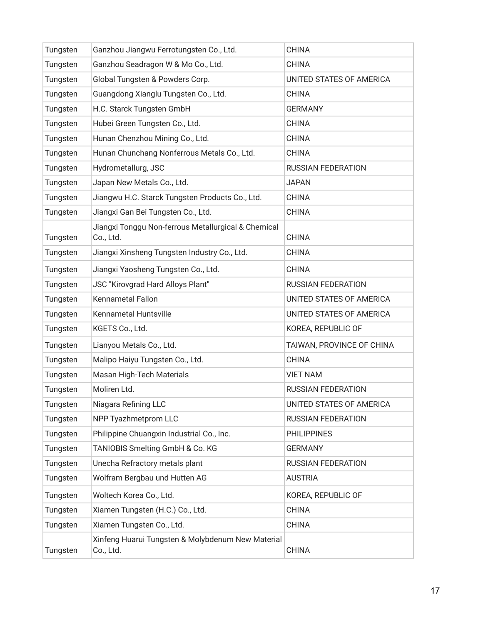| Tungsten | Ganzhou Jiangwu Ferrotungsten Co., Ltd.                          | <b>CHINA</b>              |
|----------|------------------------------------------------------------------|---------------------------|
| Tungsten | Ganzhou Seadragon W & Mo Co., Ltd.                               | <b>CHINA</b>              |
| Tungsten | Global Tungsten & Powders Corp.                                  | UNITED STATES OF AMERICA  |
| Tungsten | Guangdong Xianglu Tungsten Co., Ltd.                             | <b>CHINA</b>              |
| Tungsten | H.C. Starck Tungsten GmbH                                        | <b>GERMANY</b>            |
| Tungsten | Hubei Green Tungsten Co., Ltd.                                   | <b>CHINA</b>              |
| Tungsten | Hunan Chenzhou Mining Co., Ltd.                                  | <b>CHINA</b>              |
| Tungsten | Hunan Chunchang Nonferrous Metals Co., Ltd.                      | <b>CHINA</b>              |
| Tungsten | Hydrometallurg, JSC                                              | <b>RUSSIAN FEDERATION</b> |
| Tungsten | Japan New Metals Co., Ltd.                                       | <b>JAPAN</b>              |
| Tungsten | Jiangwu H.C. Starck Tungsten Products Co., Ltd.                  | <b>CHINA</b>              |
| Tungsten | Jiangxi Gan Bei Tungsten Co., Ltd.                               | <b>CHINA</b>              |
| Tungsten | Jiangxi Tonggu Non-ferrous Metallurgical & Chemical<br>Co., Ltd. | <b>CHINA</b>              |
| Tungsten | Jiangxi Xinsheng Tungsten Industry Co., Ltd.                     | <b>CHINA</b>              |
| Tungsten | Jiangxi Yaosheng Tungsten Co., Ltd.                              | <b>CHINA</b>              |
| Tungsten | <b>JSC "Kirovgrad Hard Alloys Plant"</b>                         | <b>RUSSIAN FEDERATION</b> |
| Tungsten | <b>Kennametal Fallon</b>                                         | UNITED STATES OF AMERICA  |
| Tungsten | Kennametal Huntsville                                            | UNITED STATES OF AMERICA  |
| Tungsten | KGETS Co., Ltd.                                                  | KOREA, REPUBLIC OF        |
| Tungsten | Lianyou Metals Co., Ltd.                                         | TAIWAN, PROVINCE OF CHINA |
| Tungsten | Malipo Haiyu Tungsten Co., Ltd.                                  | <b>CHINA</b>              |
| Tungsten | Masan High-Tech Materials                                        | <b>VIET NAM</b>           |
| Tungsten | Moliren Ltd.                                                     | <b>RUSSIAN FEDERATION</b> |
| Tungsten | Niagara Refining LLC                                             | UNITED STATES OF AMERICA  |
| Tungsten | NPP Tyazhmetprom LLC                                             | <b>RUSSIAN FEDERATION</b> |
| Tungsten | Philippine Chuangxin Industrial Co., Inc.                        | <b>PHILIPPINES</b>        |
| Tungsten | TANIOBIS Smelting GmbH & Co. KG                                  | <b>GERMANY</b>            |
| Tungsten | Unecha Refractory metals plant                                   | <b>RUSSIAN FEDERATION</b> |
| Tungsten | Wolfram Bergbau und Hutten AG                                    | <b>AUSTRIA</b>            |
| Tungsten | Woltech Korea Co., Ltd.                                          | KOREA, REPUBLIC OF        |
| Tungsten | Xiamen Tungsten (H.C.) Co., Ltd.                                 | <b>CHINA</b>              |
| Tungsten | Xiamen Tungsten Co., Ltd.                                        | <b>CHINA</b>              |
| Tungsten | Xinfeng Huarui Tungsten & Molybdenum New Material<br>Co., Ltd.   | <b>CHINA</b>              |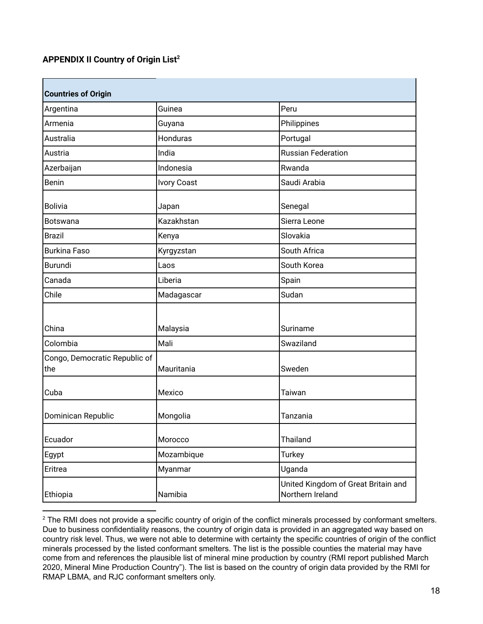### **APPENDIX II Country of Origin List 2**

| <b>Countries of Origin</b>           |                    |                                                         |
|--------------------------------------|--------------------|---------------------------------------------------------|
| Argentina                            | Guinea             | Peru                                                    |
| Armenia                              | Guyana             | Philippines                                             |
| Australia                            | Honduras           | Portugal                                                |
| Austria                              | India              | <b>Russian Federation</b>                               |
| Azerbaijan                           | Indonesia          | Rwanda                                                  |
| <b>Benin</b>                         | <b>Ivory Coast</b> | Saudi Arabia                                            |
| <b>Bolivia</b>                       | Japan              | Senegal                                                 |
| <b>Botswana</b>                      | Kazakhstan         | Sierra Leone                                            |
| <b>Brazil</b>                        | Kenya              | Slovakia                                                |
| <b>Burkina Faso</b>                  | Kyrgyzstan         | South Africa                                            |
| <b>Burundi</b>                       | Laos               | South Korea                                             |
| Canada                               | Liberia            | Spain                                                   |
| Chile                                | Madagascar         | Sudan                                                   |
|                                      |                    |                                                         |
| China                                | Malaysia           | Suriname                                                |
| Colombia                             | Mali               | Swaziland                                               |
| Congo, Democratic Republic of<br>the | Mauritania         | Sweden                                                  |
| Cuba                                 | Mexico             | Taiwan                                                  |
| Dominican Republic                   | Mongolia           | Tanzania                                                |
| Ecuador                              | Morocco            | Thailand                                                |
| Egypt                                | Mozambique         | <b>Turkey</b>                                           |
| Eritrea                              | Myanmar            | Uganda                                                  |
| Ethiopia                             | Namibia            | United Kingdom of Great Britain and<br>Northern Ireland |

 $2$  The RMI does not provide a specific country of origin of the conflict minerals processed by conformant smelters. Due to business confidentiality reasons, the country of origin data is provided in an aggregated way based on country risk level. Thus, we were not able to determine with certainty the specific countries of origin of the conflict minerals processed by the listed conformant smelters. The list is the possible counties the material may have come from and references the plausible list of mineral mine production by country (RMI report published March 2020, Mineral Mine Production Country"). The list is based on the country of origin data provided by the RMI for RMAP LBMA, and RJC conformant smelters only.